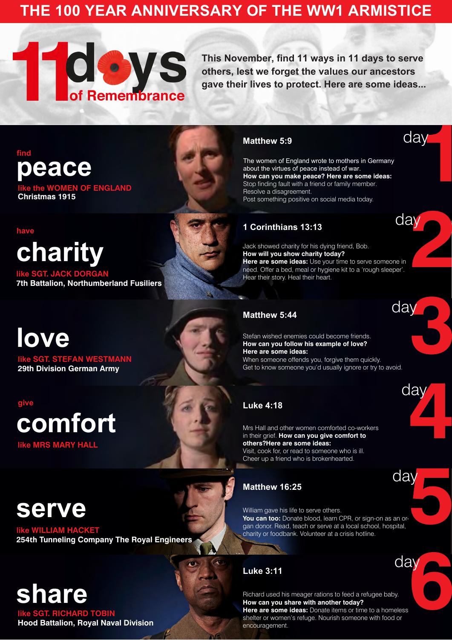**like the WOMEN OF ENGLAND Christmas 1915**

**29th Division German Army**

**like SGT. STEFAN WESTMANN [love](https://www.mormonnewsroom.org.uk/article/11-days-in-11-ways#day3)**

#### **like SGT. RICHARD TOBIN Hood Battalion, Royal Naval Division**

### **like MRS MARY HALL [comfort](https://www.mormonnewsroom.org.uk/article/11-days-in-11-ways#day4)**

### **[serve](https://www.mormonnewsroom.org.uk/article/11-days-in-11-ways#day5)**

#### **like WILLIAM HACKET 254th Tunneling Company The Royal Engineers**

### **[share](https://www.mormonnewsroom.org.uk/article/11-days-in-11-ways#day6)**

**This November, find 11 ways in 11 days to serve others, lest we forget the values our ancestors gave their lives to protect. Here are some ideas...**

**[charity](https://www.mormonnewsroom.org.uk/article/11-days-in-11-ways#day2)**

**like SGT. JACK DORGAN 7th Battalion, Northumberland Fusiliers** **2**

**3**

**49** 

# **1** day

day

**day** 

day

day

day

**6** 

#### **[Matthew 5:9](https://www.lds.org/scriptures/nt/matt/5?lang=eng)**

#### **[1 Corinthians 13:13](https://www.lds.org/scriptures/nt/1-cor/13?lang=eng)**

#### **[Matthew 5:44](https://www.lds.org/scriptures/nt/matt/5?lang=eng)**

#### **[Matthew 16:25](https://www.lds.org/scriptures/nt/matt/16?lang=eng)**

Stefan wished enemies could become friends. **How can you follow his example of love? Here are some ideas:**

#### **[Luke 3:11](https://www.lds.org/scriptures/nt/luke/3?lang=eng)**

The women of England wrote to mothers in Germany about the virtues of peace instead of war. **How can you make peace? Here are some ideas:**  Stop finding fault with a friend or family member. Resolve a disagreement. Post something positive on social media today.

Jack showed charity for his dying friend, Bob. **How will you show charity today? Here are some ideas:** Use your time to serve someone in need. Offer a bed, meal or hygiene kit to a 'rough sleeper'. Hear their story. Heal their heart.

#### **[peace](https://www.mormonnewsroom.org.uk/article/11-days-in-11-ways#day1) find**

**5** William gave his life to serve others. You can too: Donate blood, learn CPR, or sign-on as an organ donor. Read, teach or serve at a local school, hospital, charity or foodbank. Volunteer at a crisis hotline.

When someone offends you, forgive them quickly. Get to know someone you'd usually ignore or try to avoid.

#### **[Luke 4:18](https://www.lds.org/scriptures/nt/luke/4?lang=eng)**

Mrs Hall and other women comforted co-workers in their grief. **How can you give comfort to others?Here are some ideas:**

Visit, cook for, or read to someone who is ill. Cheer up a friend who is brokenhearted.

Richard used his meager rations to feed a refugee baby. **How can you share with another today? Here are some ideas:** Donate items or time to a homeless shelter or women's refuge. Nourish someone with food or encouragement.

#### **have**

**give**

### **THE 100 YEAR ANNIVERSARY OF THE WW1 ARMISTICE**